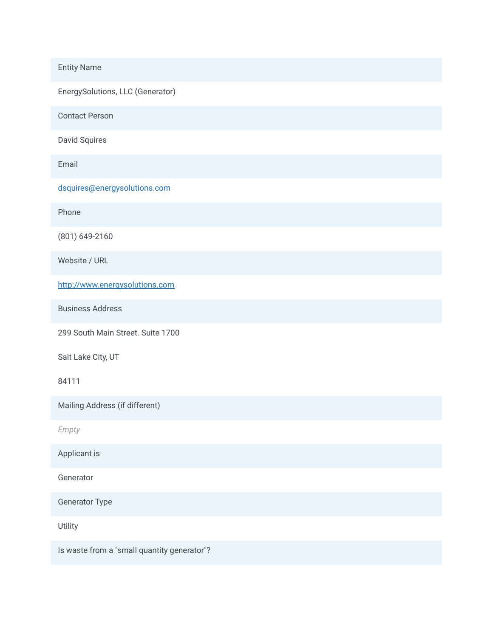Entity Name

EnergySolutions, LLC (Generator)

Contact Person

David Squires

Email

dsquires@energysolutions.com

Phone

(801) 649-2160

Website / URL

[http://www.energysolutions.com](http://www.energysolutions.com/)

Business Address

299 South Main Street. Suite 1700

Salt Lake City, UT

84111

Mailing Address (if different)

*Empty*

Applicant is

Generator

Generator Type

Utility

Is waste from a "small quantity generator"?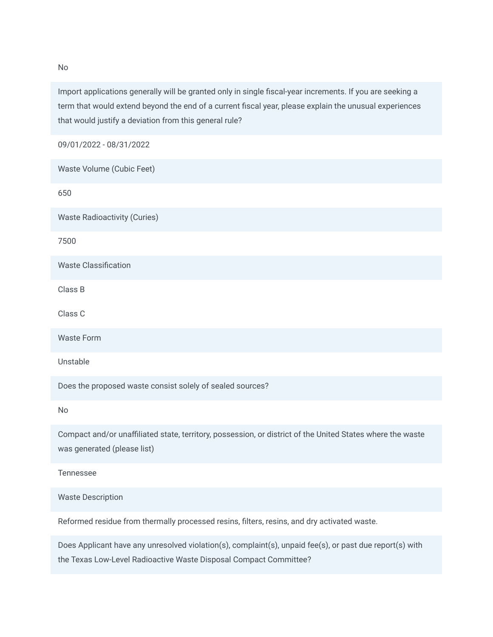Import applications generally will be granted only in single fiscal-year increments. If you are seeking a term that would extend beyond the end of a current fiscal year, please explain the unusual experiences that would justify a deviation from this general rule?

09/01/2022 - 08/31/2022

Waste Volume (Cubic Feet)

650

Waste Radioactivity (Curies)

7500

Waste Classification

Class B

Class C

Waste Form

Unstable

Does the proposed waste consist solely of sealed sources?

No

Compact and/or unaffiliated state, territory, possession, or district of the United States where the waste was generated (please list)

Tennessee

Waste Description

Reformed residue from thermally processed resins, filters, resins, and dry activated waste.

Does Applicant have any unresolved violation(s), complaint(s), unpaid fee(s), or past due report(s) with the Texas Low-Level Radioactive Waste Disposal Compact Committee?

No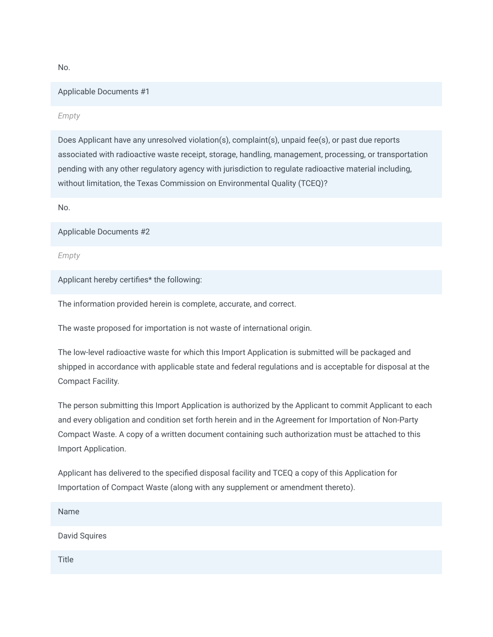No.

## Applicable Documents #1

*Empty*

Does Applicant have any unresolved violation(s), complaint(s), unpaid fee(s), or past due reports associated with radioactive waste receipt, storage, handling, management, processing, or transportation pending with any other regulatory agency with jurisdiction to regulate radioactive material including, without limitation, the Texas Commission on Environmental Quality (TCEQ)?

No.

Applicable Documents #2

*Empty*

Applicant hereby certifies\* the following:

The information provided herein is complete, accurate, and correct.

The waste proposed for importation is not waste of international origin.

The low-level radioactive waste for which this Import Application is submitted will be packaged and shipped in accordance with applicable state and federal regulations and is acceptable for disposal at the Compact Facility.

The person submitting this Import Application is authorized by the Applicant to commit Applicant to each and every obligation and condition set forth herein and in the Agreement for Importation of Non-Party Compact Waste. A copy of a written document containing such authorization must be attached to this Import Application.

Applicant has delivered to the specified disposal facility and TCEQ a copy of this Application for Importation of Compact Waste (along with any supplement or amendment thereto).

Name

David Squires

**Title**